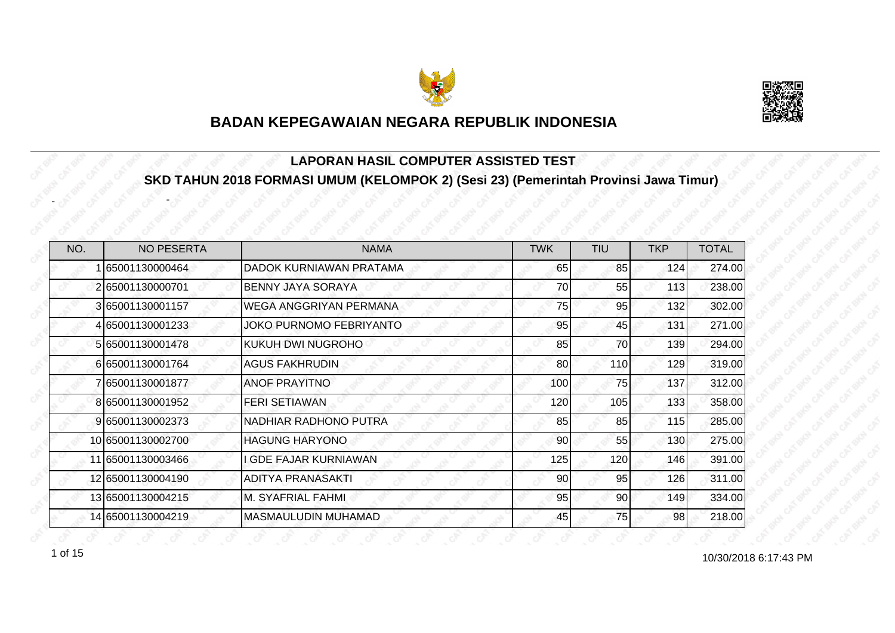



#### **LAPORAN HASIL COMPUTER ASSISTED TEST SKD TAHUN 2018 FORMASI UMUM (KELOMPOK 2) (Sesi 23) (Pemerintah Provinsi Jawa Timur)**

| NO. | <b>NO PESERTA</b> | <b>NAMA</b>                    | <b>TWK</b> | <b>TIU</b>      | <b>TKP</b> | <b>TOTAL</b> |
|-----|-------------------|--------------------------------|------------|-----------------|------------|--------------|
|     | 65001130000464    | DADOK KURNIAWAN PRATAMA        | 65         | 85              | 124        | 274.00       |
|     | 265001130000701   | BENNY JAYA SORAYA              | 70         | 55              | 113        | 238.00       |
|     | 3 65001130001157  | <b>WEGA ANGGRIYAN PERMANA</b>  | 75         | 95              | 132        | 302.00       |
|     | 4 65001130001233  | <b>JOKO PURNOMO FEBRIYANTO</b> | 95         | 45              | 131        | 271.00       |
|     | 5 65001130001478  | <b>KUKUH DWI NUGROHO</b>       | 85         | 70              | 139        | 294.00       |
|     | 665001130001764   | <b>AGUS FAKHRUDIN</b>          | 80         | 110             | 129        | 319.00       |
|     | 7 65001130001877  | <b>ANOF PRAYITNO</b>           | 100        | 75              | 137        | 312.00       |
|     | 8 65001130001952  | <b>FERI SETIAWAN</b>           | 120        | 105             | 133        | 358.00       |
|     | 9 65001130002373  | NADHIAR RADHONO PUTRA          | 85         | 85              | 115        | 285.00       |
|     | 10 65001130002700 | <b>HAGUNG HARYONO</b>          | 90         | 55              | 130        | 275.00       |
|     | 11 65001130003466 | <b>GDE FAJAR KURNIAWAN</b>     | 125        | 120             | 146        | 391.00       |
|     | 12 65001130004190 | <b>ADITYA PRANASAKTI</b>       | 90         | 95              | 126        | 311.00       |
|     | 13 65001130004215 | M. SYAFRIAL FAHMI              | 95         | 90 <sub>0</sub> | 149        | 334.00       |
|     | 14 65001130004219 | <b>MASMAULUDIN MUHAMAD</b>     | 45         | 75              | 98         | 218.00       |

1 of 15

-

-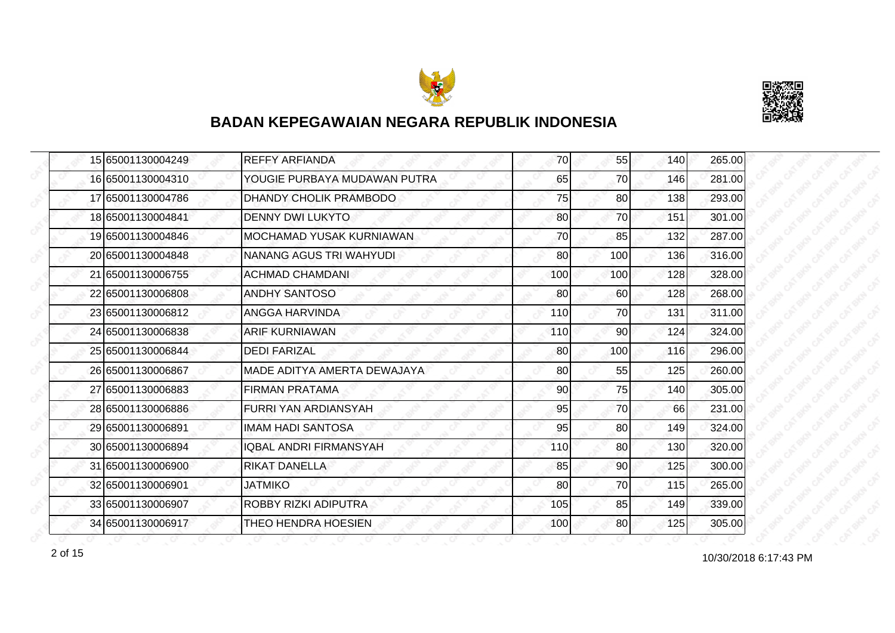



|  | 15 65001130004249 | <b>REFFY ARFIANDA</b>           | 70  | 55  | 140 | 265.00 |
|--|-------------------|---------------------------------|-----|-----|-----|--------|
|  | 16 65001130004310 | YOUGIE PURBAYA MUDAWAN PUTRA    | 65  | 70  | 146 | 281.00 |
|  | 17 65001130004786 | DHANDY CHOLIK PRAMBODO          | 75  | 80  | 138 | 293.00 |
|  | 18 65001130004841 | <b>DENNY DWI LUKYTO</b>         | 80  | 70  | 151 | 301.00 |
|  | 19 65001130004846 | <b>MOCHAMAD YUSAK KURNIAWAN</b> | 70  | 85  | 132 | 287.00 |
|  | 20 65001130004848 | NANANG AGUS TRI WAHYUDI         | 80  | 100 | 136 | 316.00 |
|  | 21 65001130006755 | <b>ACHMAD CHAMDANI</b>          | 100 | 100 | 128 | 328.00 |
|  | 22 65001130006808 | <b>ANDHY SANTOSO</b>            | 80  | 60  | 128 | 268.00 |
|  | 23 65001130006812 | ANGGA HARVINDA                  | 110 | 70  | 131 | 311.00 |
|  | 24 65001130006838 | <b>ARIF KURNIAWAN</b>           | 110 | 90  | 124 | 324.00 |
|  | 25 65001130006844 | <b>DEDI FARIZAL</b>             | 80  | 100 | 116 | 296.00 |
|  | 26 65001130006867 | MADE ADITYA AMERTA DEWAJAYA     | 80  | 55  | 125 | 260.00 |
|  | 27 65001130006883 | <b>FIRMAN PRATAMA</b>           | 90  | 75  | 140 | 305.00 |
|  | 28 65001130006886 | <b>FURRI YAN ARDIANSYAH</b>     | 95  | 70  | 66  | 231.00 |
|  | 29 65001130006891 | <b>IMAM HADI SANTOSA</b>        | 95  | 80  | 149 | 324.00 |
|  | 30 65001130006894 | <b>IQBAL ANDRI FIRMANSYAH</b>   | 110 | 80  | 130 | 320.00 |
|  | 31 65001130006900 | <b>RIKAT DANELLA</b>            | 85  | 90  | 125 | 300.00 |
|  | 32 65001130006901 | <b>JATMIKO</b>                  | 80  | 70  | 115 | 265.00 |
|  | 33 65001130006907 | ROBBY RIZKI ADIPUTRA            | 105 | 85  | 149 | 339.00 |
|  | 34 65001130006917 | THEO HENDRA HOESIEN             | 100 | 80  | 125 | 305.00 |

10/30/2018 6:17:43 PM 2 of 15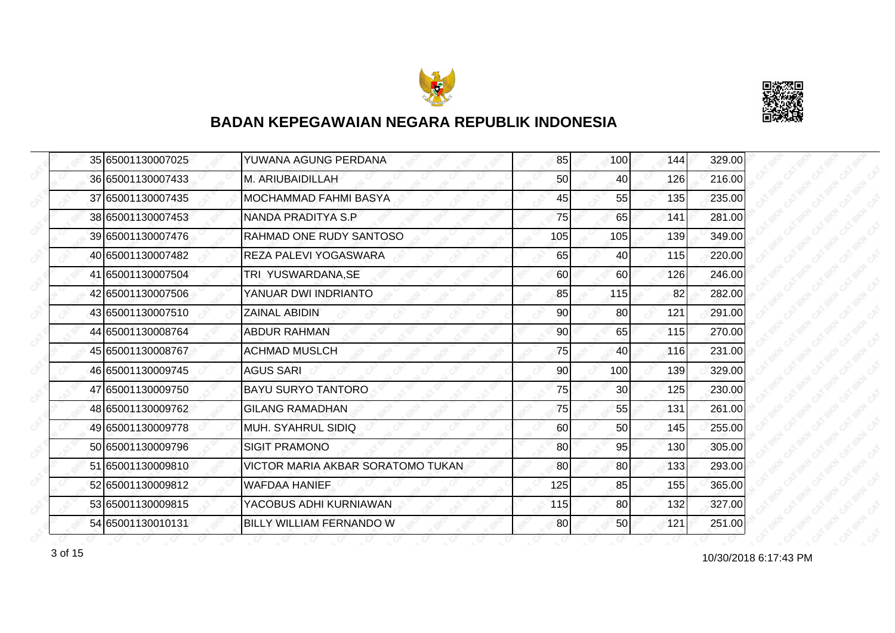



|  | 35 65001130007025 | YUWANA AGUNG PERDANA              | 85  | 100 | 144 | 329.00 |
|--|-------------------|-----------------------------------|-----|-----|-----|--------|
|  | 36 65001130007433 | M. ARIUBAIDILLAH                  | 50  | 40  | 126 | 216.00 |
|  | 37 65001130007435 | MOCHAMMAD FAHMI BASYA             | 45  | 55  | 135 | 235.00 |
|  | 38 65001130007453 | NANDA PRADITYA S.P.               | 75  | 65  | 141 | 281.00 |
|  | 39 65001130007476 | RAHMAD ONE RUDY SANTOSO           | 105 | 105 | 139 | 349.00 |
|  | 40 65001130007482 | <b>REZA PALEVI YOGASWARA</b>      | 65  | 40  | 115 | 220.00 |
|  | 41 65001130007504 | TRI YUSWARDANA, SE                | 60  | 60  | 126 | 246.00 |
|  | 42 65001130007506 | YANUAR DWI INDRIANTO              | 85  | 115 | 82  | 282.00 |
|  | 43 65001130007510 | <b>ZAINAL ABIDIN</b>              | 90  | 80  | 121 | 291.00 |
|  | 44 65001130008764 | <b>ABDUR RAHMAN</b>               | 90  | 65  | 115 | 270.00 |
|  | 45 65001130008767 | <b>ACHMAD MUSLCH</b>              | 75  | 40  | 116 | 231.00 |
|  | 46 65001130009745 | <b>AGUS SARI</b>                  | 90  | 100 | 139 | 329.00 |
|  | 47 65001130009750 | <b>BAYU SURYO TANTORO</b>         | 75  | 30  | 125 | 230.00 |
|  | 48 65001130009762 | <b>GILANG RAMADHAN</b>            | 75  | 55  | 131 | 261.00 |
|  | 49 65001130009778 | MUH. SYAHRUL SIDIQ                | 60  | 50  | 145 | 255.00 |
|  | 50 65001130009796 | <b>SIGIT PRAMONO</b>              | 80  | 95  | 130 | 305.00 |
|  | 51 65001130009810 | VICTOR MARIA AKBAR SORATOMO TUKAN | 80  | 80  | 133 | 293.00 |
|  | 52 65001130009812 | <b>WAFDAA HANIEF</b>              | 125 | 85  | 155 | 365.00 |
|  | 53 65001130009815 | YACOBUS ADHI KURNIAWAN            | 115 | 80  | 132 | 327.00 |
|  | 54 65001130010131 | BILLY WILLIAM FERNANDO W          | 80  | 50  | 121 | 251.00 |

10/30/2018 6:17:43 PM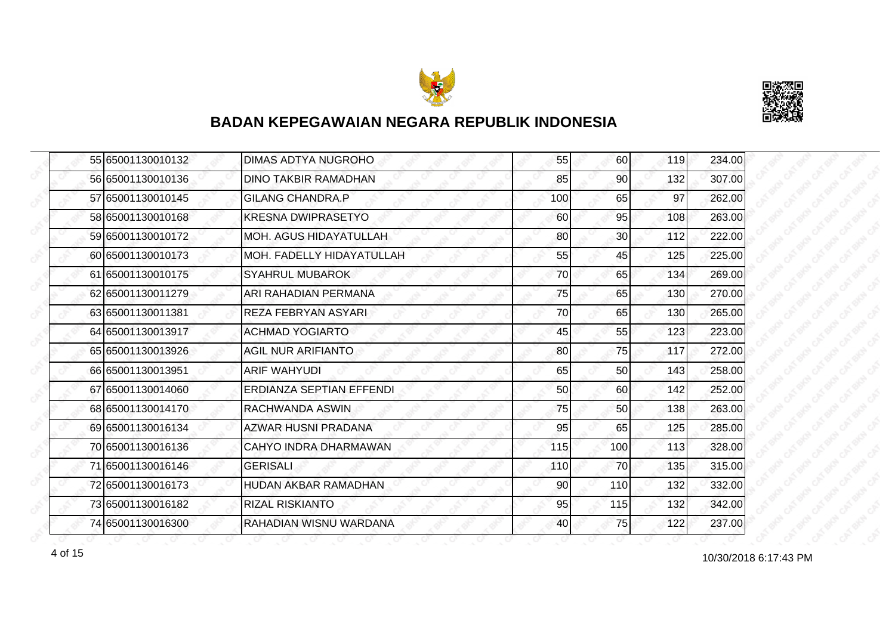



|  | 55 65001130010132 | <b>DIMAS ADTYA NUGROHO</b>       | 55  | 60              | 119 | 234.00 |
|--|-------------------|----------------------------------|-----|-----------------|-----|--------|
|  | 56 65001130010136 | <b>DINO TAKBIR RAMADHAN</b>      | 85  | 90              | 132 | 307.00 |
|  | 57 65001130010145 | <b>GILANG CHANDRA.P</b>          | 100 | 65              | 97  | 262.00 |
|  | 58 65001130010168 | <b>KRESNA DWIPRASETYO</b>        | 60  | 95              | 108 | 263.00 |
|  | 59 65001130010172 | <b>MOH. AGUS HIDAYATULLAH</b>    | 80  | 30 <sub>l</sub> | 112 | 222.00 |
|  | 60 65001130010173 | <b>MOH. FADELLY HIDAYATULLAH</b> | 55  | 45              | 125 | 225.00 |
|  | 61 65001130010175 | <b>SYAHRUL MUBAROK</b>           | 70  | 65              | 134 | 269.00 |
|  | 62 65001130011279 | IARI RAHADIAN PERMANA            | 75  | 65              | 130 | 270.00 |
|  | 63 65001130011381 | <b>REZA FEBRYAN ASYARI</b>       | 70  | 65              | 130 | 265.00 |
|  | 64 65001130013917 | <b>ACHMAD YOGIARTO</b>           | 45  | 55              | 123 | 223.00 |
|  | 65 65001130013926 | <b>AGIL NUR ARIFIANTO</b>        | 80  | 75              | 117 | 272.00 |
|  | 66 65001130013951 | ARIF WAHYUDI                     | 65  | 50              | 143 | 258.00 |
|  | 67 65001130014060 | ERDIANZA SEPTIAN EFFENDI         | 50  | 60              | 142 | 252.00 |
|  | 68 65001130014170 | RACHWANDA ASWIN                  | 75  | 50              | 138 | 263.00 |
|  | 69 65001130016134 | AZWAR HUSNI PRADANA              | 95  | 65              | 125 | 285.00 |
|  | 70 65001130016136 | CAHYO INDRA DHARMAWAN            | 115 | 100             | 113 | 328.00 |
|  | 71 65001130016146 | <b>GERISALI</b>                  | 110 | 70              | 135 | 315.00 |
|  | 72 65001130016173 | <b>HUDAN AKBAR RAMADHAN</b>      | 90  | 110             | 132 | 332.00 |
|  | 73 65001130016182 | <b>RIZAL RISKIANTO</b>           | 95  | 115             | 132 | 342.00 |
|  | 74 65001130016300 | RAHADIAN WISNU WARDANA           | 40  | <b>75</b>       | 122 | 237.00 |

4 of 15 10/30/2018 6:17:43 PM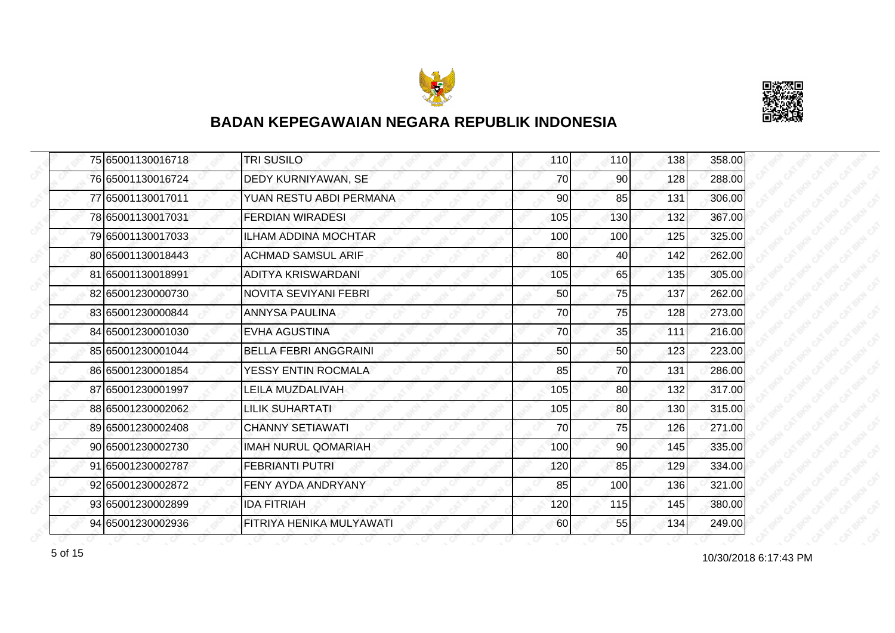



|  | 75 65001130016718 | <b>TRI SUSILO</b>            | 110 | 110 | 138 | 358.00 |
|--|-------------------|------------------------------|-----|-----|-----|--------|
|  | 76 65001130016724 | DEDY KURNIYAWAN, SE          | 70  | 90  | 128 | 288.00 |
|  | 77 65001130017011 | YUAN RESTU ABDI PERMANA      | 90  | 85  | 131 | 306.00 |
|  | 78 65001130017031 | <b>FERDIAN WIRADESI</b>      | 105 | 130 | 132 | 367.00 |
|  | 79 65001130017033 | <b>ILHAM ADDINA MOCHTAR</b>  | 100 | 100 | 125 | 325.00 |
|  | 80 65001130018443 | <b>ACHMAD SAMSUL ARIF</b>    | 80  | 40  | 142 | 262.00 |
|  | 81 65001130018991 | ADITYA KRISWARDANI           | 105 | 65  | 135 | 305.00 |
|  | 82 65001230000730 | NOVITA SEVIYANI FEBRI        | 50  | 75  | 137 | 262.00 |
|  | 83 65001230000844 | <b>ANNYSA PAULINA</b>        | 70  | 75  | 128 | 273.00 |
|  | 84 65001230001030 | <b>EVHA AGUSTINA</b>         | 70  | 35  | 111 | 216.00 |
|  | 85 65001230001044 | <b>BELLA FEBRI ANGGRAINI</b> | 50  | 50  | 123 | 223.00 |
|  | 86 65001230001854 | YESSY ENTIN ROCMALA          | 85  | 70  | 131 | 286.00 |
|  | 87 65001230001997 | LEILA MUZDALIVAH             | 105 | 80  | 132 | 317.00 |
|  | 88 65001230002062 | LILIK SUHARTATI              | 105 | 80  | 130 | 315.00 |
|  | 89 65001230002408 | <b>CHANNY SETIAWATI</b>      | 70  | 75  | 126 | 271.00 |
|  | 90 65001230002730 | <b>IMAH NURUL QOMARIAH</b>   | 100 | 90  | 145 | 335.00 |
|  | 91 65001230002787 | <b>FEBRIANTI PUTRI</b>       | 120 | 85  | 129 | 334.00 |
|  | 92 65001230002872 | FENY AYDA ANDRYANY           | 85  | 100 | 136 | 321.00 |
|  | 93 65001230002899 | <b>IDA FITRIAH</b>           | 120 | 115 | 145 | 380.00 |
|  | 94 65001230002936 | FITRIYA HENIKA MULYAWATI     | 60  | 55  | 134 | 249.00 |

10/30/2018 6:17:43 PM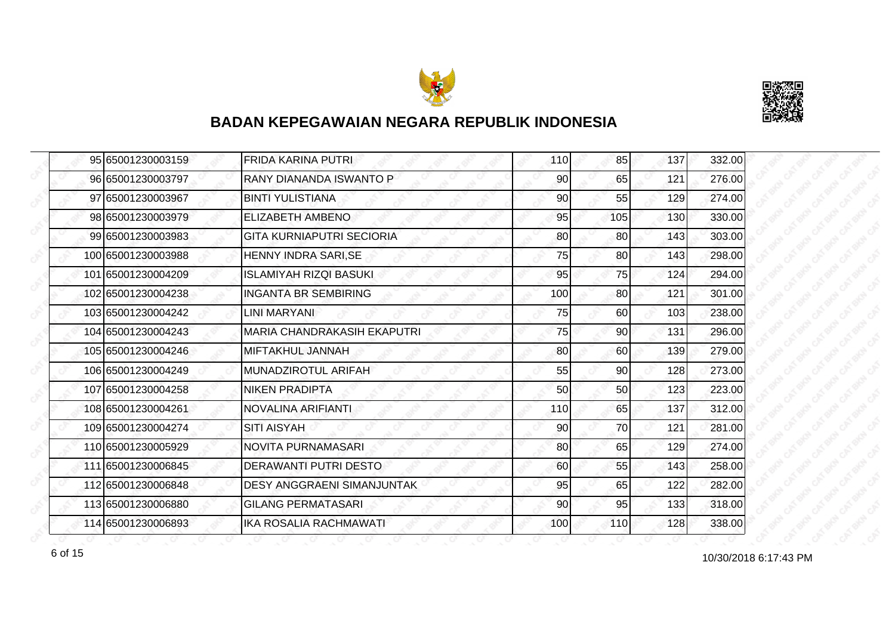



| 95 65001230003159  | <b>FRIDA KARINA PUTRI</b>          | 110 | 85  | 137 | 332.00 |
|--------------------|------------------------------------|-----|-----|-----|--------|
| 96 65001230003797  | RANY DIANANDA ISWANTO P            | 90  | 65  | 121 | 276.00 |
| 97 65001230003967  | <b>BINTI YULISTIANA</b>            | 90  | 55  | 129 | 274.00 |
| 98 65001230003979  | <b>ELIZABETH AMBENO</b>            | 95  | 105 | 130 | 330.00 |
| 99 65001230003983  | GITA KURNIAPUTRI SECIORIA          | 80  | 80  | 143 | 303.00 |
| 100 65001230003988 | <b>HENNY INDRA SARI, SE</b>        | 75  | 80  | 143 | 298.00 |
| 101 65001230004209 | ISLAMIYAH RIZQI BASUKI             | 95  | 75  | 124 | 294.00 |
| 102 65001230004238 | <b>INGANTA BR SEMBIRING</b>        | 100 | 80  | 121 | 301.00 |
| 103 65001230004242 | LINI MARYANI                       | 75  | 60  | 103 | 238.00 |
| 104 65001230004243 | <b>MARIA CHANDRAKASIH EKAPUTRI</b> | 75  | 90  | 131 | 296.00 |
| 105 65001230004246 | MIFTAKHUL JANNAH                   | 80  | 60  | 139 | 279.00 |
| 106 65001230004249 | MUNADZIROTUL ARIFAH                | 55  | 90  | 128 | 273.00 |
| 107 65001230004258 | <b>NIKEN PRADIPTA</b>              | 50  | 50  | 123 | 223.00 |
| 108 65001230004261 | NOVALINA ARIFIANTI                 | 110 | 65  | 137 | 312.00 |
| 109 65001230004274 | <b>SITI AISYAH</b>                 | 90  | 70  | 121 | 281.00 |
| 110 65001230005929 | <b>NOVITA PURNAMASARI</b>          | 80  | 65  | 129 | 274.00 |
| 111 65001230006845 | DERAWANTI PUTRI DESTO              | 60  | 55  | 143 | 258.00 |
| 112 65001230006848 | <b>DESY ANGGRAENI SIMANJUNTAK</b>  | 95  | 65  | 122 | 282.00 |
| 113 65001230006880 | <b>GILANG PERMATASARI</b>          | 90  | 95  | 133 | 318.00 |
| 114 65001230006893 | <b>IKA ROSALIA RACHMAWATI</b>      | 100 | 110 | 128 | 338.00 |

10/30/2018 6:17:43 PM 6 of 15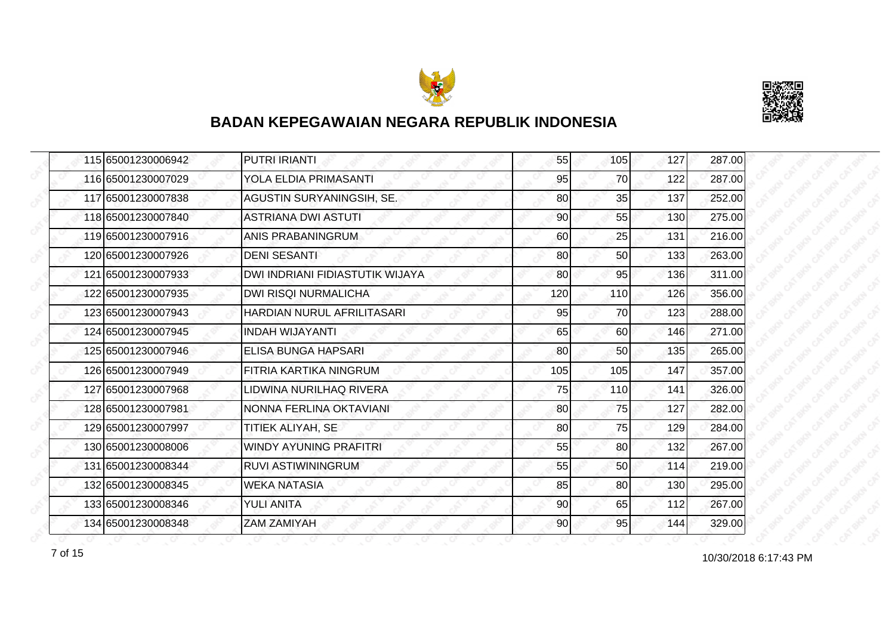



|  | 115 65001230006942 | <b>PUTRI IRIANTI</b>            | 55  | 105 | 127 | 287.00 |
|--|--------------------|---------------------------------|-----|-----|-----|--------|
|  | 116 65001230007029 | YOLA ELDIA PRIMASANTI           | 95  | 70  | 122 | 287.00 |
|  | 117 65001230007838 | AGUSTIN SURYANINGSIH, SE.       | 80  | 35  | 137 | 252.00 |
|  | 118 65001230007840 | <b>ASTRIANA DWI ASTUTI</b>      | 90  | 55  | 130 | 275.00 |
|  | 119 65001230007916 | ANIS PRABANINGRUM               | 60  | 25  | 131 | 216.00 |
|  | 120 65001230007926 | <b>DENI SESANTI</b>             | 80  | 50  | 133 | 263.00 |
|  | 121 65001230007933 | DWI INDRIANI FIDIASTUTIK WIJAYA | 80  | 95  | 136 | 311.00 |
|  | 122 65001230007935 | <b>DWI RISQI NURMALICHA</b>     | 120 | 110 | 126 | 356.00 |
|  | 123 65001230007943 | HARDIAN NURUL AFRILITASARI      | 95  | 70  | 123 | 288.00 |
|  | 124 65001230007945 | <b>INDAH WIJAYANTI</b>          | 65  | 60  | 146 | 271.00 |
|  | 125 65001230007946 | <b>ELISA BUNGA HAPSARI</b>      | 80  | 50  | 135 | 265.00 |
|  | 126 65001230007949 | FITRIA KARTIKA NINGRUM          | 105 | 105 | 147 | 357.00 |
|  | 127 65001230007968 | LIDWINA NURILHAQ RIVERA         | 75  | 110 | 141 | 326.00 |
|  | 128 65001230007981 | NONNA FERLINA OKTAVIANI         | 80  | 75  | 127 | 282.00 |
|  | 129 65001230007997 | TITIEK ALIYAH, SE               | 80  | 75  | 129 | 284.00 |
|  | 130 65001230008006 | <b>WINDY AYUNING PRAFITRI</b>   | 55  | 80  | 132 | 267.00 |
|  | 131 65001230008344 | <b>RUVI ASTIWININGRUM</b>       | 55  | 50  | 114 | 219.00 |
|  | 132 65001230008345 | <b>WEKA NATASIA</b>             | 85  | 80  | 130 | 295.00 |
|  | 133 65001230008346 | <b>YULI ANITA</b>               | 90  | 65  | 112 | 267.00 |
|  | 134 65001230008348 | <b>ZAM ZAMIYAH</b>              | 90  | 95  | 144 | 329.00 |

10/30/2018 6:17:43 PM 7 of 15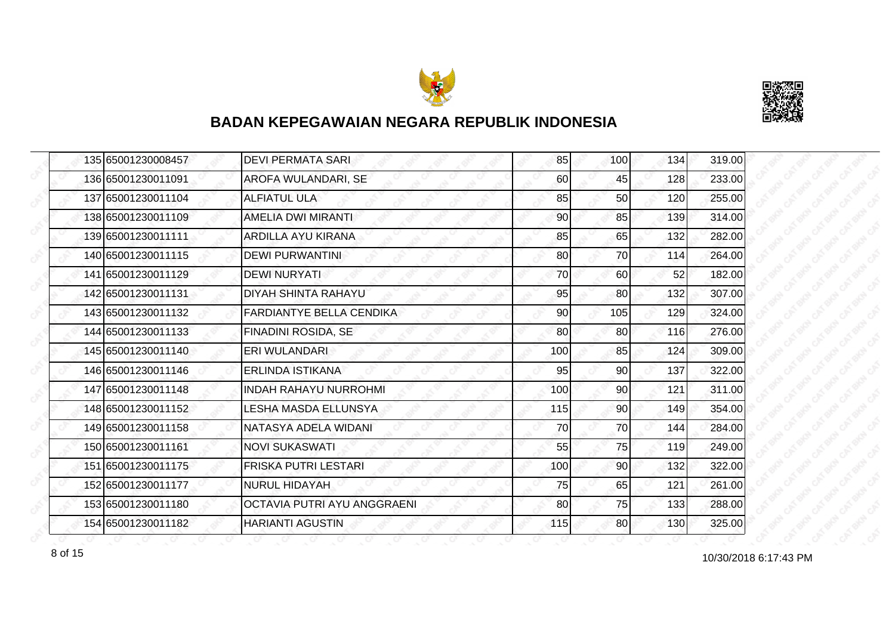



| 135 65001230008457 | <b>DEVI PERMATA SARI</b>           | 85  | 100             | 134 | 319.00 |
|--------------------|------------------------------------|-----|-----------------|-----|--------|
| 136 65001230011091 | AROFA WULANDARI, SE                | 60  | 45              | 128 | 233.00 |
| 137 65001230011104 | <b>ALFIATUL ULA</b>                | 85  | 50              | 120 | 255.00 |
| 138 65001230011109 | AMELIA DWI MIRANTI                 | 90  | 85              | 139 | 314.00 |
| 139 65001230011111 | ARDILLA AYU KIRANA                 | 85  | 65              | 132 | 282.00 |
| 140 65001230011115 | <b>DEWI PURWANTINI</b>             | 80  | 70              | 114 | 264.00 |
| 141 65001230011129 | <b>DEWI NURYATI</b>                | 70  | 60              | 52  | 182.00 |
| 142 65001230011131 | DIYAH SHINTA RAHAYU                | 95  | 80              | 132 | 307.00 |
| 143 65001230011132 | <b>FARDIANTYE BELLA CENDIKA</b>    | 90  | 105             | 129 | 324.00 |
| 144 65001230011133 | FINADINI ROSIDA, SE                | 80  | 80 <sup>1</sup> | 116 | 276.00 |
| 145 65001230011140 | ERI WULANDARI                      | 100 | 85              | 124 | 309.00 |
| 146 65001230011146 | ERLINDA ISTIKANA                   | 95  | 90              | 137 | 322.00 |
| 147 65001230011148 | <b>INDAH RAHAYU NURROHMI</b>       | 100 | 90 <sup>°</sup> | 121 | 311.00 |
| 148 65001230011152 | LESHA MASDA ELLUNSYA               | 115 | 90              | 149 | 354.00 |
| 149 65001230011158 | NATASYA ADELA WIDANI               | 70  | 70              | 144 | 284.00 |
| 150 65001230011161 | <b>NOVI SUKASWATI</b>              | 55  | 75              | 119 | 249.00 |
| 151 65001230011175 | <b>FRISKA PUTRI LESTARI</b>        | 100 | 90              | 132 | 322.00 |
| 152 65001230011177 | <b>NURUL HIDAYAH</b>               | 75  | 65              | 121 | 261.00 |
| 153 65001230011180 | <b>OCTAVIA PUTRI AYU ANGGRAENI</b> | 80  | 75              | 133 | 288.00 |
| 154 65001230011182 | <b>HARIANTI AGUSTIN</b>            | 115 | 80              | 130 | 325.00 |

10/30/2018 6:17:43 PM 8 of 15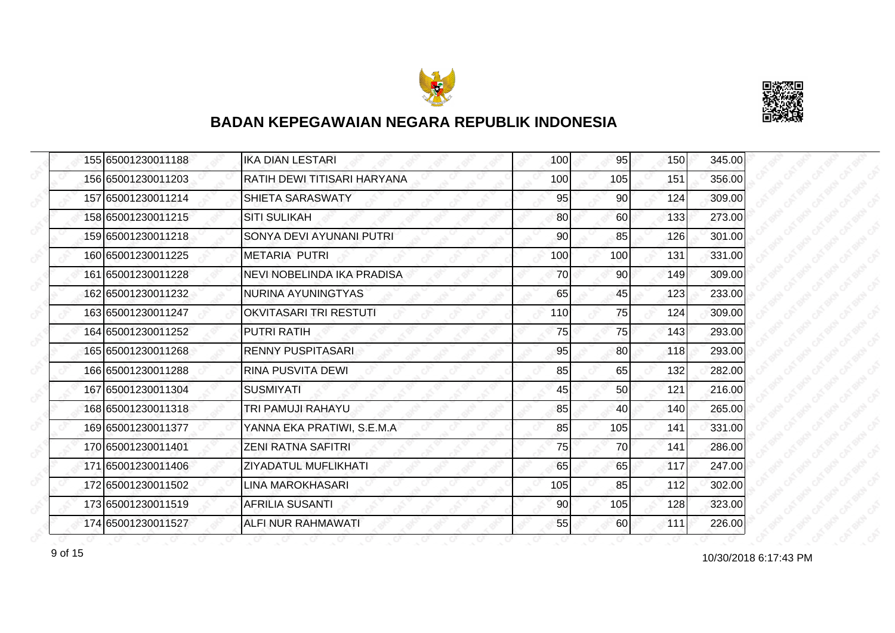



|  | 155 65001230011188 | <b>IKA DIAN LESTARI</b>           | 100 | 95              | 150 | 345.00 |
|--|--------------------|-----------------------------------|-----|-----------------|-----|--------|
|  | 156 65001230011203 | RATIH DEWI TITISARI HARYANA       | 100 | 105             | 151 | 356.00 |
|  | 157 65001230011214 | <b>SHIETA SARASWATY</b>           | 95  | 90              | 124 | 309.00 |
|  | 158 65001230011215 | <b>SITI SULIKAH</b>               | 80  | 60              | 133 | 273.00 |
|  | 159 65001230011218 | SONYA DEVI AYUNANI PUTRI          | 90  | 85              | 126 | 301.00 |
|  | 160 65001230011225 | IMETARIA PUTRI                    | 100 | 100             | 131 | 331.00 |
|  | 161 65001230011228 | <b>NEVI NOBELINDA IKA PRADISA</b> | 70  | 90 <sub>0</sub> | 149 | 309.00 |
|  | 162 65001230011232 | NURINA AYUNINGTYAS                | 65  | 45              | 123 | 233.00 |
|  | 163 65001230011247 | <b>OKVITASARI TRI RESTUTI</b>     | 110 | 75              | 124 | 309.00 |
|  | 164 65001230011252 | <b>PUTRI RATIH</b>                | 75  | 75              | 143 | 293.00 |
|  | 165 65001230011268 | <b>RENNY PUSPITASARI</b>          | 95  | 80              | 118 | 293.00 |
|  | 166 65001230011288 | <b>RINA PUSVITA DEWI</b>          | 85  | 65              | 132 | 282.00 |
|  | 167 65001230011304 | <b>SUSMIYATI</b>                  | 45  | 50              | 121 | 216.00 |
|  | 168 65001230011318 | TRI PAMUJI RAHAYU                 | 85  | 40              | 140 | 265.00 |
|  | 169 65001230011377 | YANNA EKA PRATIWI, S.E.M.A        | 85  | 105             | 141 | 331.00 |
|  | 170 65001230011401 | <b>ZENI RATNA SAFITRI</b>         | 75  | 70              | 141 | 286.00 |
|  | 171 65001230011406 | ZIYADATUL MUFLIKHATI              | 65  | 65              | 117 | 247.00 |
|  | 172 65001230011502 | <b>LINA MAROKHASARI</b>           | 105 | 85              | 112 | 302.00 |
|  | 173 65001230011519 | <b>AFRILIA SUSANTI</b>            | 90  | 105             | 128 | 323.00 |
|  | 174 65001230011527 | <b>ALFI NUR RAHMAWATI</b>         | 55  | 60              | 111 | 226.00 |

10/30/2018 6:17:43 PM 9 of 15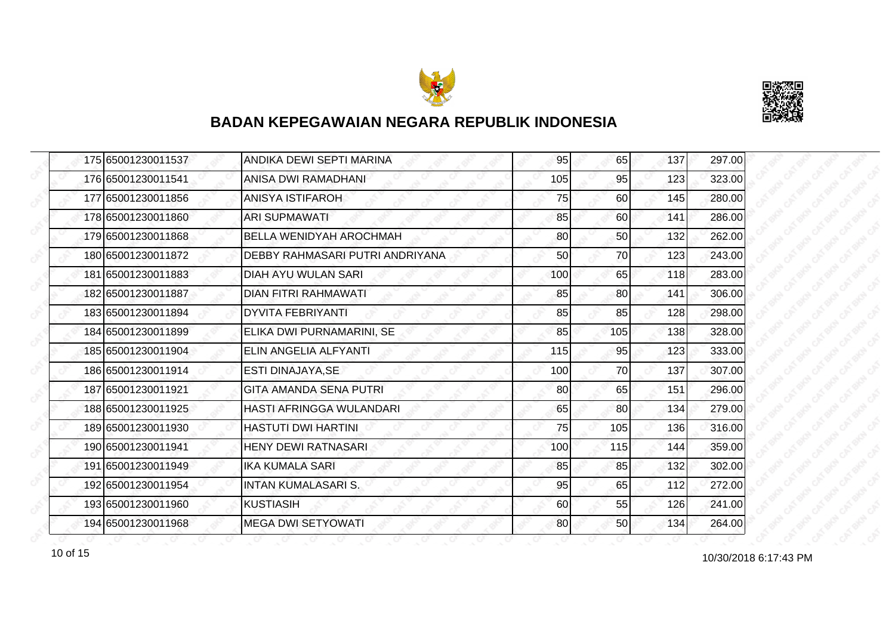



| 175 65001230011537 | ANDIKA DEWI SEPTI MARINA        | 95  | 65  | 137 | 297.00 |
|--------------------|---------------------------------|-----|-----|-----|--------|
| 176 65001230011541 | ANISA DWI RAMADHANI             | 105 | 95  | 123 | 323.00 |
| 177 65001230011856 | <b>ANISYA ISTIFAROH</b>         | 75  | 60  | 145 | 280.00 |
| 178 65001230011860 | <b>ARI SUPMAWATI</b>            | 85  | 60  | 141 | 286.00 |
| 179 65001230011868 | <b>BELLA WENIDYAH AROCHMAH</b>  | 80  | 50  | 132 | 262.00 |
| 180 65001230011872 | DEBBY RAHMASARI PUTRI ANDRIYANA | 50  | 70  | 123 | 243.00 |
| 181 65001230011883 | <b>DIAH AYU WULAN SARI</b>      | 100 | 65  | 118 | 283.00 |
| 182 65001230011887 | <b>DIAN FITRI RAHMAWATI</b>     | 85  | 80  | 141 | 306.00 |
| 183 65001230011894 | <b>DYVITA FEBRIYANTI</b>        | 85  | 85  | 128 | 298.00 |
| 184 65001230011899 | ELIKA DWI PURNAMARINI, SE       | 85  | 105 | 138 | 328.00 |
| 185 65001230011904 | ELIN ANGELIA ALFYANTI           | 115 | 95  | 123 | 333.00 |
| 186 65001230011914 | <b>ESTI DINAJAYA, SE</b>        | 100 | 70  | 137 | 307.00 |
| 187 65001230011921 | <b>GITA AMANDA SENA PUTRI</b>   | 80  | 65  | 151 | 296.00 |
| 188 65001230011925 | HASTI AFRINGGA WULANDARI        | 65  | 80  | 134 | 279.00 |
| 189 65001230011930 | <b>HASTUTI DWI HARTINI</b>      | 75  | 105 | 136 | 316.00 |
| 190 65001230011941 | <b>HENY DEWI RATNASARI</b>      | 100 | 115 | 144 | 359.00 |
| 191 65001230011949 | <b>IKA KUMALA SARI</b>          | 85  | 85  | 132 | 302.00 |
| 192 65001230011954 | <b>INTAN KUMALASARI S.</b>      | 95  | 65  | 112 | 272.00 |
| 193 65001230011960 | <b>KUSTIASIH</b>                | 60  | 55  | 126 | 241.00 |
| 194 65001230011968 | <b>MEGA DWI SETYOWATI</b>       | 80  | 50  | 134 | 264.00 |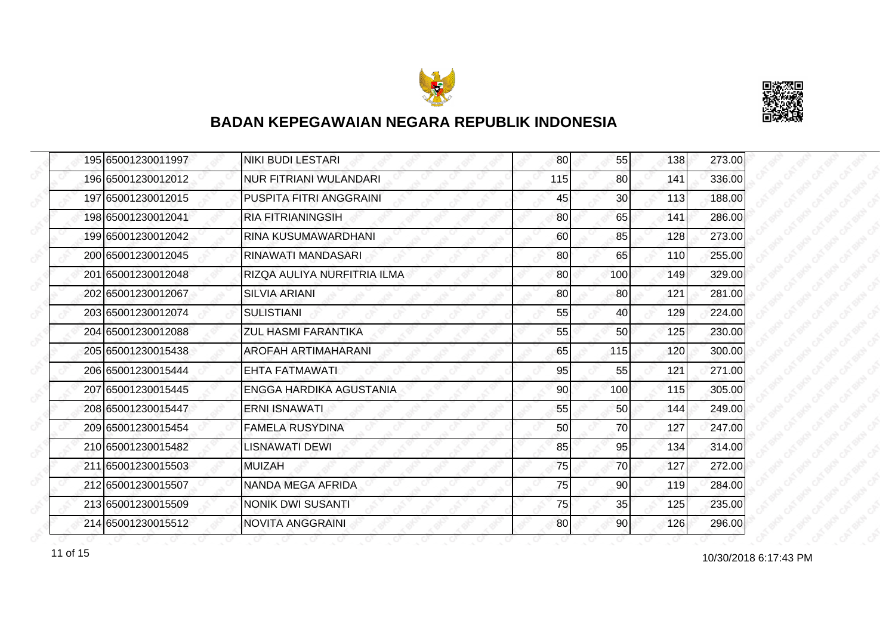



|  | 195 65001230011997 | <b>NIKI BUDI LESTARI</b>      | 80  | 55              | 138 | 273.00 |
|--|--------------------|-------------------------------|-----|-----------------|-----|--------|
|  | 196 65001230012012 | <b>NUR FITRIANI WULANDARI</b> | 115 | 80              | 141 | 336.00 |
|  | 197 65001230012015 | PUSPITA FITRI ANGGRAINI       | 45  | 30 <sup>°</sup> | 113 | 188.00 |
|  | 198 65001230012041 | <b>RIA FITRIANINGSIH</b>      | 80  | 65              | 141 | 286.00 |
|  | 199 65001230012042 | RINA KUSUMAWARDHANI           | 60  | 85              | 128 | 273.00 |
|  | 200 65001230012045 | RINAWATI MANDASARI            | 80  | 65              | 110 | 255.00 |
|  | 201 65001230012048 | RIZQA AULIYA NURFITRIA ILMA   | 80  | 100             | 149 | 329.00 |
|  | 202 65001230012067 | <b>SILVIA ARIANI</b>          | 80  | 80              | 121 | 281.00 |
|  | 203165001230012074 | <b>SULISTIANI</b>             | 55  | 40              | 129 | 224.00 |
|  | 204 65001230012088 | <b>ZUL HASMI FARANTIKA</b>    | 55  | 50 <sub>l</sub> | 125 | 230.00 |
|  | 205 65001230015438 | AROFAH ARTIMAHARANI           | 65  | 115             | 120 | 300.00 |
|  | 206165001230015444 | EHTA FATMAWATI                | 95  | 55              | 121 | 271.00 |
|  | 207 65001230015445 | ENGGA HARDIKA AGUSTANIA       | 90  | 100             | 115 | 305.00 |
|  | 208 65001230015447 | <b>ERNI ISNAWATI</b>          | 55  | 50              | 144 | 249.00 |
|  | 209 65001230015454 | <b>FAMELA RUSYDINA</b>        | 50  | 70              | 127 | 247.00 |
|  | 210 65001230015482 | <b>LISNAWATI DEWI</b>         | 85  | 95              | 134 | 314.00 |
|  | 211 65001230015503 | <b>MUIZAH</b>                 | 75  | 70              | 127 | 272.00 |
|  | 212 65001230015507 | NANDA MEGA AFRIDA             | 75  | 90              | 119 | 284.00 |
|  | 213 65001230015509 | <b>NONIK DWI SUSANTI</b>      | 75  | 35              | 125 | 235.00 |
|  | 214 65001230015512 | <b>NOVITA ANGGRAINI</b>       | 80  | 90              | 126 | 296.00 |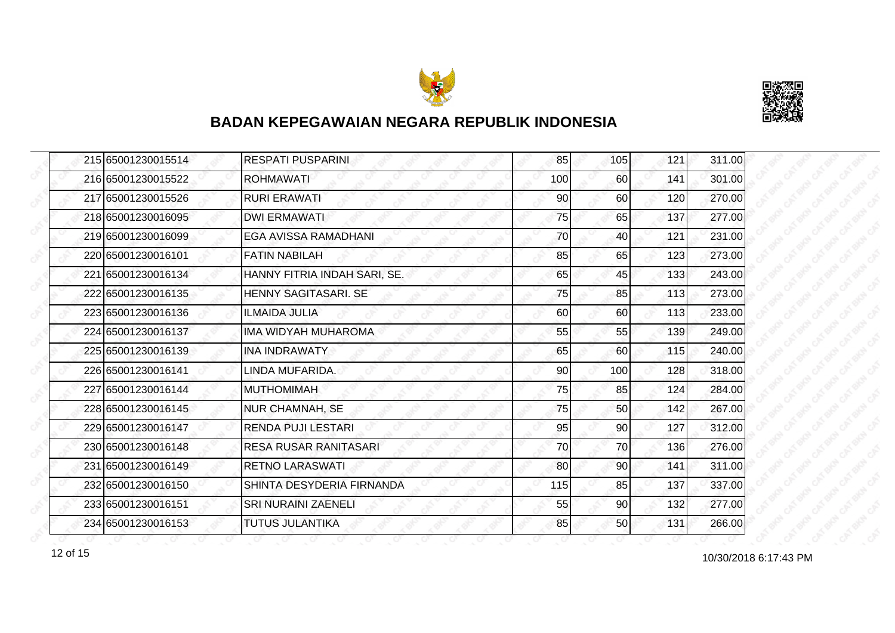



| 215 65001230015514 | <b>RESPATI PUSPARINI</b>     | 85  | 105 | 121 | 311.00 |
|--------------------|------------------------------|-----|-----|-----|--------|
| 216 65001230015522 | <b>ROHMAWATI</b>             | 100 | 60  | 141 | 301.00 |
| 217 65001230015526 | <b>RURI ERAWATI</b>          | 90  | 60  | 120 | 270.00 |
| 218 65001230016095 | <b>DWI ERMAWATI</b>          | 75  | 65  | 137 | 277.00 |
| 219 65001230016099 | EGA AVISSA RAMADHANI         | 70  | 40  | 121 | 231.00 |
| 220 65001230016101 | <b>FATIN NABILAH</b>         | 85  | 65  | 123 | 273.00 |
| 221 65001230016134 | HANNY FITRIA INDAH SARI, SE. | 65  | 45  | 133 | 243.00 |
| 222 65001230016135 | <b>HENNY SAGITASARI, SE</b>  | 75  | 85  | 113 | 273.00 |
| 223 65001230016136 | <b>ILMAIDA JULIA</b>         | 60  | 60  | 113 | 233.00 |
| 224 65001230016137 | <b>IMA WIDYAH MUHAROMA</b>   | 55  | 55  | 139 | 249.00 |
| 225 65001230016139 | <b>INA INDRAWATY</b>         | 65  | 60  | 115 | 240.00 |
| 226165001230016141 | LINDA MUFARIDA.              | 90  | 100 | 128 | 318.00 |
| 227 65001230016144 | <b>MUTHOMIMAH</b>            | 75  | 85  | 124 | 284.00 |
| 228 65001230016145 | <b>NUR CHAMNAH, SE</b>       | 75  | 50  | 142 | 267.00 |
| 229 65001230016147 | RENDA PUJI LESTARI           | 95  | 90  | 127 | 312.00 |
| 230 65001230016148 | <b>RESA RUSAR RANITASARI</b> | 70  | 70  | 136 | 276.00 |
| 231 65001230016149 | <b>RETNO LARASWATI</b>       | 80  | 90  | 141 | 311.00 |
| 232 65001230016150 | SHINTA DESYDERIA FIRNANDA    | 115 | 85  | 137 | 337.00 |
| 233 65001230016151 | <b>SRI NURAINI ZAENELI</b>   | 55  | 90  | 132 | 277.00 |
| 234 65001230016153 | <b>TUTUS JULANTIKA</b>       | 85  | 50  | 131 | 266.00 |

10/30/2018 6:17:43 PM 12 of 15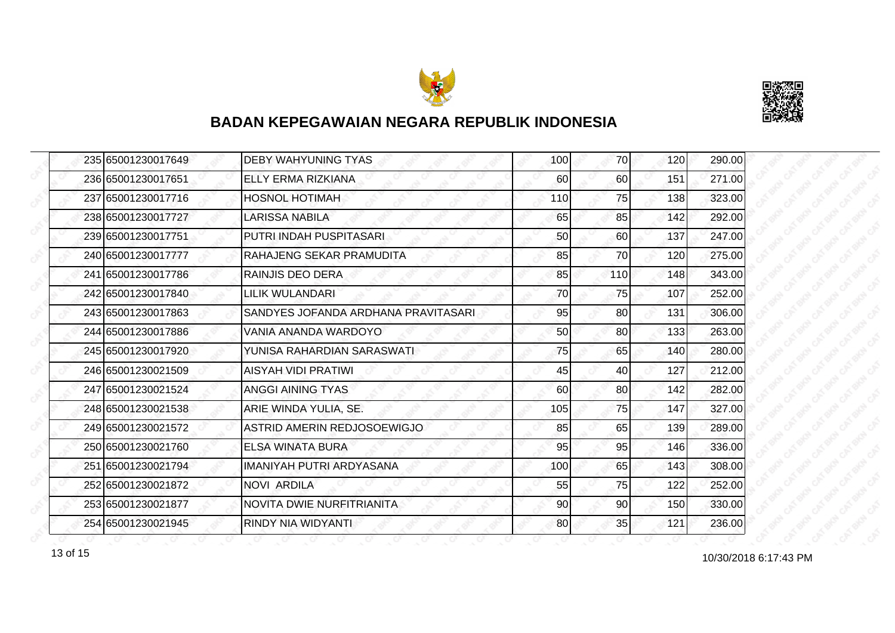



| 235 65001230017649 | <b>DEBY WAHYUNING TYAS</b>          | 100 | 70  | 120 | 290.00 |
|--------------------|-------------------------------------|-----|-----|-----|--------|
| 236 65001230017651 | ELLY ERMA RIZKIANA                  | 60  | 60  | 151 | 271.00 |
| 237 65001230017716 | <b>HOSNOL HOTIMAH</b>               | 110 | 75  | 138 | 323.00 |
| 238 65001230017727 | <b>LARISSA NABILA</b>               | 65  | 85  | 142 | 292.00 |
| 239 65001230017751 | PUTRI INDAH PUSPITASARI             | 50  | 60  | 137 | 247.00 |
| 240 65001230017777 | RAHAJENG SEKAR PRAMUDITA            | 85  | 70  | 120 | 275.00 |
| 241 65001230017786 | <b>RAINJIS DEO DERA</b>             | 85  | 110 | 148 | 343.00 |
| 242 65001230017840 | LILIK WULANDARI                     | 70  | 75  | 107 | 252.00 |
| 243 65001230017863 | SANDYES JOFANDA ARDHANA PRAVITASARI | 95  | 80  | 131 | 306.00 |
| 244 65001230017886 | VANIA ANANDA WARDOYO                | 50  | 80I | 133 | 263.00 |
| 245 65001230017920 | YUNISA RAHARDIAN SARASWATI          | 75  | 65  | 140 | 280.00 |
| 246 65001230021509 | <b>AISYAH VIDI PRATIWI</b>          | 45  | 40  | 127 | 212.00 |
| 247 65001230021524 | ANGGI AINING TYAS                   | 60  | 80  | 142 | 282.00 |
| 248165001230021538 | ARIE WINDA YULIA, SE.               | 105 | 75  | 147 | 327.00 |
| 249 65001230021572 | ASTRID AMERIN REDJOSOEWIGJO         | 85  | 65  | 139 | 289.00 |
| 250 65001230021760 | ELSA WINATA BURA                    | 95  | 95  | 146 | 336.00 |
| 251 65001230021794 | IMANIYAH PUTRI ARDYASANA            | 100 | 65  | 143 | 308.00 |
| 252 65001230021872 | NOVI ARDILA                         | 55  | 75  | 122 | 252.00 |
| 253 65001230021877 | NOVITA DWIE NURFITRIANITA           | 90  | 90  | 150 | 330.00 |
| 254 65001230021945 | RINDY NIA WIDYANTI                  | 80  | 35  | 121 | 236.00 |

13 of 15 and 10/30/2018 6:17:43 PM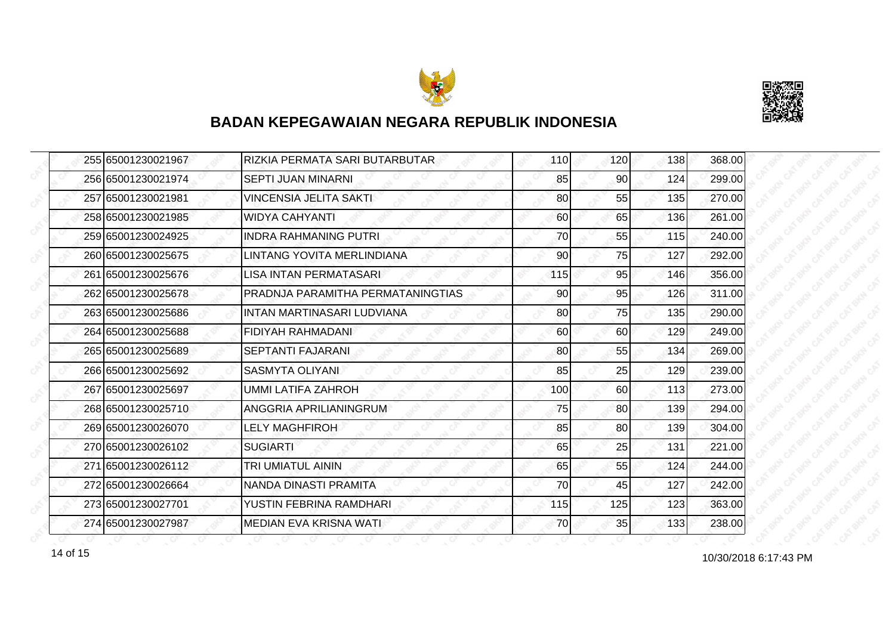



| 255 65001230021967 | RIZKIA PERMATA SARI BUTARBUTAR    | 110 | 120 | 138 | 368.00 |
|--------------------|-----------------------------------|-----|-----|-----|--------|
| 256 65001230021974 | <b>SEPTI JUAN MINARNI</b>         | 85  | 90  | 124 | 299.00 |
| 257165001230021981 | <b>VINCENSIA JELITA SAKTI</b>     | 80  | 55  | 135 | 270.00 |
| 258 65001230021985 | <b>WIDYA CAHYANTI</b>             | 60  | 65  | 136 | 261.00 |
| 259 65001230024925 | <b>INDRA RAHMANING PUTRI</b>      | 70  | 55  | 115 | 240.00 |
| 260 65001230025675 | LINTANG YOVITA MERLINDIANA        | 90  | 75  | 127 | 292.00 |
| 261 65001230025676 | <b>LISA INTAN PERMATASARI</b>     | 115 | 95  | 146 | 356.00 |
| 262 65001230025678 | PRADNJA PARAMITHA PERMATANINGTIAS | 90  | 95  | 126 | 311.00 |
| 263 65001230025686 | INTAN MARTINASARI LUDVIANA        | 80  | 75  | 135 | 290.00 |
| 264 65001230025688 | <b>FIDIYAH RAHMADANI</b>          | 60  | 60  | 129 | 249.00 |
| 265 65001230025689 | <b>SEPTANTI FAJARANI</b>          | 80  | 55  | 134 | 269.00 |
| 266 65001230025692 | <b>SASMYTA OLIYANI</b>            | 85  | 25  | 129 | 239.00 |
| 267 65001230025697 | <b>UMMI LATIFA ZAHROH</b>         | 100 | 60  | 113 | 273.00 |
| 268 65001230025710 | ANGGRIA APRILIANINGRUM            | 75  | 80  | 139 | 294.00 |
| 269 65001230026070 | <b>LELY MAGHFIROH</b>             | 85  | 80  | 139 | 304.00 |
| 270 65001230026102 | <b>SUGIARTI</b>                   | 65  | 25  | 131 | 221.00 |
| 271 65001230026112 | TRI UMIATUL AININ                 | 65  | 55  | 124 | 244.00 |
| 272 65001230026664 | NANDA DINASTI PRAMITA             | 70  | 45  | 127 | 242.00 |
| 273 65001230027701 | YUSTIN FEBRINA RAMDHARI           | 115 | 125 | 123 | 363.00 |
| 274 65001230027987 | MEDIAN EVA KRISNA WATI            | 70  | 35  | 133 | 238.00 |